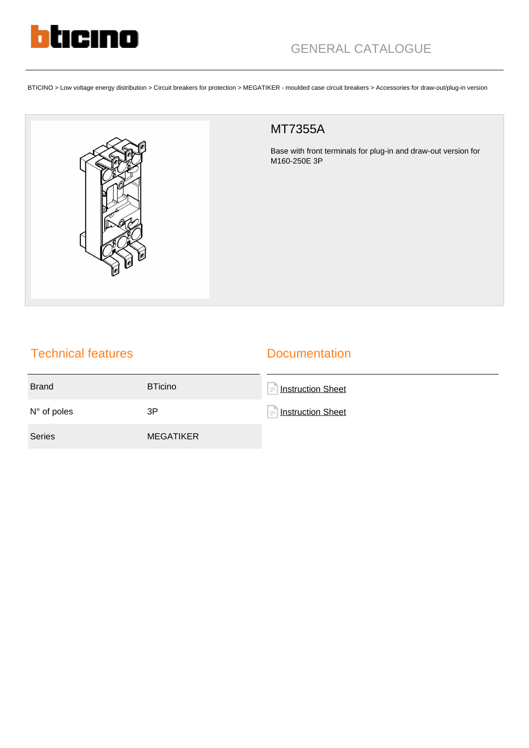

BTICINO > Low voltage energy distribution > Circuit breakers for protection > MEGATIKER - moulded case circuit breakers > Accessories for draw-out/plug-in version



## MT7355A

Base with front terminals for plug-in and draw-out version for M160-250E 3P

## Technical features

## **Documentation**

| <b>Brand</b>         | <b>BTicino</b>   | <b>Instruction Sheet</b><br>$=$ |
|----------------------|------------------|---------------------------------|
| $N^{\circ}$ of poles | 3P               | $=$ Instruction Sheet           |
| <b>Series</b>        | <b>MEGATIKER</b> |                                 |